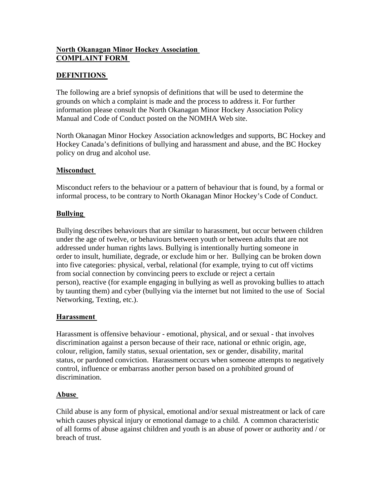## **North Okanagan Minor Hockey Association COMPLAINT FORM**

## **DEFINITIONS**

The following are a brief synopsis of definitions that will be used to determine the grounds on which a complaint is made and the process to address it. For further information please consult the North Okanagan Minor Hockey Association Policy Manual and Code of Conduct posted on the NOMHA Web site.

North Okanagan Minor Hockey Association acknowledges and supports, BC Hockey and Hockey Canada's definitions of bullying and harassment and abuse, and the BC Hockey policy on drug and alcohol use.

### **Misconduct**

Misconduct refers to the behaviour or a pattern of behaviour that is found, by a formal or informal process, to be contrary to North Okanagan Minor Hockey's Code of Conduct.

### **Bullying**

Bullying describes behaviours that are similar to harassment, but occur between children under the age of twelve, or behaviours between youth or between adults that are not addressed under human rights laws. Bullying is intentionally hurting someone in order to insult, humiliate, degrade, or exclude him or her. Bullying can be broken down into five categories: physical, verbal, relational (for example, trying to cut off victims from social connection by convincing peers to exclude or reject a certain person), reactive (for example engaging in bullying as well as provoking bullies to attach by taunting them) and cyber (bullying via the internet but not limited to the use of Social Networking, Texting, etc.).

### **Harassment**

Harassment is offensive behaviour - emotional, physical, and or sexual - that involves discrimination against a person because of their race, national or ethnic origin, age, colour, religion, family status, sexual orientation, sex or gender, disability, marital status, or pardoned conviction. Harassment occurs when someone attempts to negatively control, influence or embarrass another person based on a prohibited ground of discrimination.

### **Abuse**

Child abuse is any form of physical, emotional and/or sexual mistreatment or lack of care which causes physical injury or emotional damage to a child. A common characteristic of all forms of abuse against children and youth is an abuse of power or authority and / or breach of trust.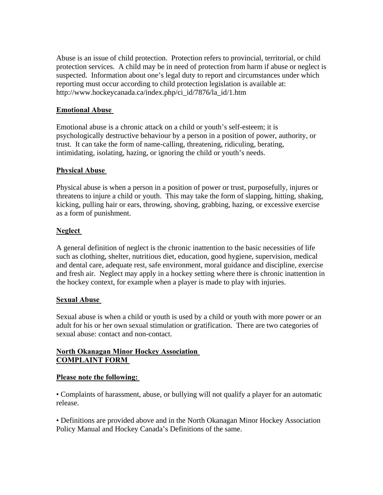Abuse is an issue of child protection. Protection refers to provincial, territorial, or child protection services. A child may be in need of protection from harm if abuse or neglect is suspected. Information about one's legal duty to report and circumstances under which reporting must occur according to child protection legislation is available at: http://www.hockeycanada.ca/index.php/ci\_id/7876/la\_id/1.htm

### **Emotional Abuse**

Emotional abuse is a chronic attack on a child or youth's self-esteem; it is psychologically destructive behaviour by a person in a position of power, authority, or trust. It can take the form of name-calling, threatening, ridiculing, berating, intimidating, isolating, hazing, or ignoring the child or youth's needs.

### **Physical Abuse**

Physical abuse is when a person in a position of power or trust, purposefully, injures or threatens to injure a child or youth. This may take the form of slapping, hitting, shaking, kicking, pulling hair or ears, throwing, shoving, grabbing, hazing, or excessive exercise as a form of punishment.

#### **Neglect**

A general definition of neglect is the chronic inattention to the basic necessities of life such as clothing, shelter, nutritious diet, education, good hygiene, supervision, medical and dental care, adequate rest, safe environment, moral guidance and discipline, exercise and fresh air. Neglect may apply in a hockey setting where there is chronic inattention in the hockey context, for example when a player is made to play with injuries.

#### **Sexual Abuse**

Sexual abuse is when a child or youth is used by a child or youth with more power or an adult for his or her own sexual stimulation or gratification. There are two categories of sexual abuse: contact and non-contact.

### **North Okanagan Minor Hockey Association COMPLAINT FORM**

#### **Please note the following:**

• Complaints of harassment, abuse, or bullying will not qualify a player for an automatic release.

• Definitions are provided above and in the North Okanagan Minor Hockey Association Policy Manual and Hockey Canada's Definitions of the same.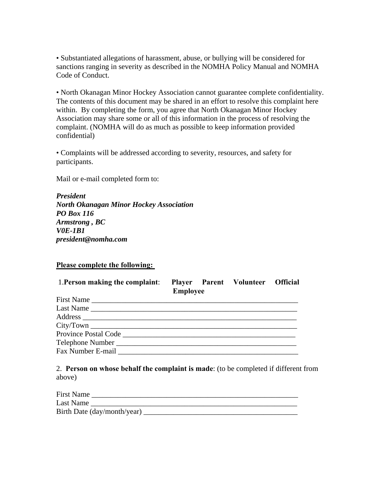• Substantiated allegations of harassment, abuse, or bullying will be considered for sanctions ranging in severity as described in the NOMHA Policy Manual and NOMHA Code of Conduct.

• North Okanagan Minor Hockey Association cannot guarantee complete confidentiality. The contents of this document may be shared in an effort to resolve this complaint here within. By completing the form, you agree that North Okanagan Minor Hockey Association may share some or all of this information in the process of resolving the complaint. (NOMHA will do as much as possible to keep information provided confidential)

• Complaints will be addressed according to severity, resources, and safety for participants.

Mail or e-mail completed form to:

*President North Okanagan Minor Hockey Association PO Box 116 Armstrong , BC V0E-1B1 president@nomha.com* 

**Please complete the following:** 

| 1. Person making the complaint:     | <b>Employee</b> | Player Parent Volunteer Official |  |
|-------------------------------------|-----------------|----------------------------------|--|
|                                     |                 |                                  |  |
| Last Name                           |                 |                                  |  |
|                                     |                 |                                  |  |
|                                     |                 |                                  |  |
|                                     |                 |                                  |  |
|                                     |                 |                                  |  |
| Fax Number E-mail Fax Number E-mail |                 |                                  |  |

2. **Person on whose behalf the complaint is made**: (to be completed if different from above)

| <b>First Name</b> |                             |
|-------------------|-----------------------------|
| Last Name         |                             |
|                   | Birth Date (day/month/year) |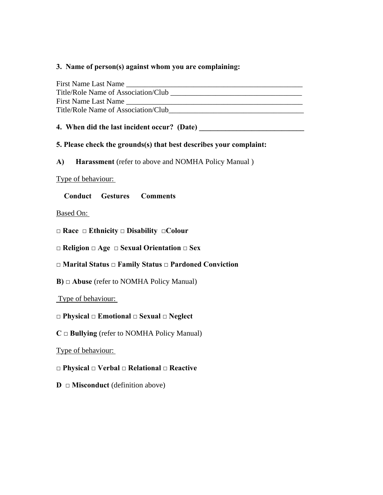### **3. Name of person(s) against whom you are complaining:**

| First Name Last Name                |  |
|-------------------------------------|--|
| Title/Role Name of Association/Club |  |
| First Name Last Name                |  |
| Title/Role Name of Association/Club |  |

### **4. When did the last incident occur? (Date)**

### **5. Please check the grounds(s) that best describes your complaint:**

**A) Harassment** (refer to above and NOMHA Policy Manual )

#### Type of behaviour:

### **Conduct Gestures Comments**

#### Based On:

- **□ Race □ Ethnicity □ Disability □Colour**
- **□ Religion □ Age □ Sexual Orientation □ Sex**

# **□ Marital Status □ Family Status □ Pardoned Conviction**

**B) □ Abuse** (refer to NOMHA Policy Manual)

### Type of behaviour:

# **□ Physical □ Emotional □ Sexual □ Neglect**

**C □ Bullying** (refer to NOMHA Policy Manual)

# Type of behaviour:

# **□ Physical □ Verbal □ Relational □ Reactive**

**D □ Misconduct** (definition above)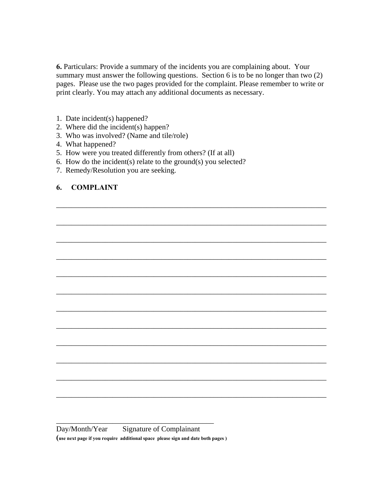**6.** Particulars: Provide a summary of the incidents you are complaining about. Your summary must answer the following questions. Section 6 is to be no longer than two (2) pages. Please use the two pages provided for the complaint. Please remember to write or print clearly. You may attach any additional documents as necessary.

\_\_\_\_\_\_\_\_\_\_\_\_\_\_\_\_\_\_\_\_\_\_\_\_\_\_\_\_\_\_\_\_\_\_\_\_\_\_\_\_\_\_\_\_\_\_\_\_\_\_\_\_\_\_\_\_\_\_\_\_\_\_\_\_\_\_\_\_\_\_\_\_

\_\_\_\_\_\_\_\_\_\_\_\_\_\_\_\_\_\_\_\_\_\_\_\_\_\_\_\_\_\_\_\_\_\_\_\_\_\_\_\_\_\_\_\_\_\_\_\_\_\_\_\_\_\_\_\_\_\_\_\_\_\_\_\_\_\_\_\_\_\_\_\_

\_\_\_\_\_\_\_\_\_\_\_\_\_\_\_\_\_\_\_\_\_\_\_\_\_\_\_\_\_\_\_\_\_\_\_\_\_\_\_\_\_\_\_\_\_\_\_\_\_\_\_\_\_\_\_\_\_\_\_\_\_\_\_\_\_\_\_\_\_\_\_\_

\_\_\_\_\_\_\_\_\_\_\_\_\_\_\_\_\_\_\_\_\_\_\_\_\_\_\_\_\_\_\_\_\_\_\_\_\_\_\_\_\_\_\_\_\_\_\_\_\_\_\_\_\_\_\_\_\_\_\_\_\_\_\_\_\_\_\_\_\_\_\_\_

\_\_\_\_\_\_\_\_\_\_\_\_\_\_\_\_\_\_\_\_\_\_\_\_\_\_\_\_\_\_\_\_\_\_\_\_\_\_\_\_\_\_\_\_\_\_\_\_\_\_\_\_\_\_\_\_\_\_\_\_\_\_\_\_\_\_\_\_\_\_\_\_

\_\_\_\_\_\_\_\_\_\_\_\_\_\_\_\_\_\_\_\_\_\_\_\_\_\_\_\_\_\_\_\_\_\_\_\_\_\_\_\_\_\_\_\_\_\_\_\_\_\_\_\_\_\_\_\_\_\_\_\_\_\_\_\_\_\_\_\_\_\_\_\_

\_\_\_\_\_\_\_\_\_\_\_\_\_\_\_\_\_\_\_\_\_\_\_\_\_\_\_\_\_\_\_\_\_\_\_\_\_\_\_\_\_\_\_\_\_\_\_\_\_\_\_\_\_\_\_\_\_\_\_\_\_\_\_\_\_\_\_\_\_\_\_\_

\_\_\_\_\_\_\_\_\_\_\_\_\_\_\_\_\_\_\_\_\_\_\_\_\_\_\_\_\_\_\_\_\_\_\_\_\_\_\_\_\_\_\_\_\_\_\_\_\_\_\_\_\_\_\_\_\_\_\_\_\_\_\_\_\_\_\_\_\_\_\_\_

\_\_\_\_\_\_\_\_\_\_\_\_\_\_\_\_\_\_\_\_\_\_\_\_\_\_\_\_\_\_\_\_\_\_\_\_\_\_\_\_\_\_\_\_\_\_\_\_\_\_\_\_\_\_\_\_\_\_\_\_\_\_\_\_\_\_\_\_\_\_\_\_

\_\_\_\_\_\_\_\_\_\_\_\_\_\_\_\_\_\_\_\_\_\_\_\_\_\_\_\_\_\_\_\_\_\_\_\_\_\_\_\_\_\_\_\_\_\_\_\_\_\_\_\_\_\_\_\_\_\_\_\_\_\_\_\_\_\_\_\_\_\_\_\_

\_\_\_\_\_\_\_\_\_\_\_\_\_\_\_\_\_\_\_\_\_\_\_\_\_\_\_\_\_\_\_\_\_\_\_\_\_\_\_\_\_\_\_\_\_\_\_\_\_\_\_\_\_\_\_\_\_\_\_\_\_\_\_\_\_\_\_\_\_\_\_\_

\_\_\_\_\_\_\_\_\_\_\_\_\_\_\_\_\_\_\_\_\_\_\_\_\_\_\_\_\_\_\_\_\_\_\_\_\_\_\_\_\_\_\_\_\_\_\_\_\_\_\_\_\_\_\_\_\_\_\_\_\_\_\_\_\_\_\_\_\_\_\_\_

- 1. Date incident(s) happened?
- 2. Where did the incident(s) happen?
- 3. Who was involved? (Name and tile/role)
- 4. What happened?
- 5. How were you treated differently from others? (If at all)
- 6. How do the incident(s) relate to the ground(s) you selected?
- 7. Remedy/Resolution you are seeking.

### **6. COMPLAINT**

\_\_\_\_\_\_\_\_\_\_\_\_\_\_\_\_\_\_\_\_\_\_\_\_\_\_\_\_\_\_\_\_\_\_\_\_\_\_\_\_\_\_ Day/Month/Year Signature of Complainant **(use next page if you require additional space please sign and date both pages )**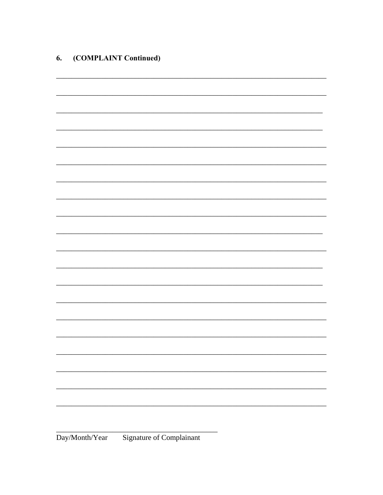| 6. | (COMPLAINT Continued) |  |
|----|-----------------------|--|
|----|-----------------------|--|